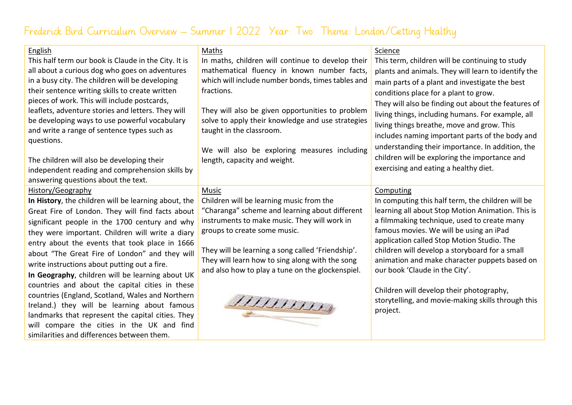## Frederick Bird Curriculum Overview – Summer 1 2022 Year: Two Theme: London/Getting Healthy

## English Maths Science This half term our book is Claude in the City. It is In maths, children will continue to develop their This term, children will be continuing to study mathematical fluency in known number facts, all about a curious dog who goes on adventures plants and animals. They will learn to identify the in a busy city. The children will be developing which will include number bonds, times tables and main parts of a plant and investigate the best their sentence writing skills to create written fractions. conditions place for a plant to grow. pieces of work. This will include postcards, They will also be finding out about the features of leaflets, adventure stories and letters. They will They will also be given opportunities to problem living things, including humans. For example, all be developing ways to use powerful vocabulary solve to apply their knowledge and use strategies living things breathe, move and grow. This and write a range of sentence types such as taught in the classroom. includes naming important parts of the body and questions. understanding their importance. In addition, the We will also be exploring measures including children will be exploring the importance and The children will also be developing their length, capacity and weight. exercising and eating a healthy diet. independent reading and comprehension skills by answering questions about the text. History/Geography Music Computing Children will be learning music from the **In History**, the children will be learning about, the In computing this half term, the children will be Great Fire of London. They will find facts about "Charanga" scheme and learning about different learning all about Stop Motion Animation. This is instruments to make music. They will work in a filmmaking technique, used to create many significant people in the 1700 century and why groups to create some music. famous movies. We will be using an iPad they were important. Children will write a diary application called Stop Motion Studio. The entry about the events that took place in 1666 They will be learning a song called 'Friendship'. children will develop a storyboard for a small about "The Great Fire of London" and they will They will learn how to sing along with the song animation and make character puppets based on write instructions about putting out a fire. and also how to play a tune on the glockenspiel. our book 'Claude in the City'. **In Geography**, children will be learning about UK countries and about the capital cities in these Children will develop their photography, countries (England, Scotland, Wales and Northern 7777777777 storytelling, and movie-making skills through this Ireland.) they will be learning about famous project. landmarks that represent the capital cities. They will compare the cities in the UK and find similarities and differences between them.